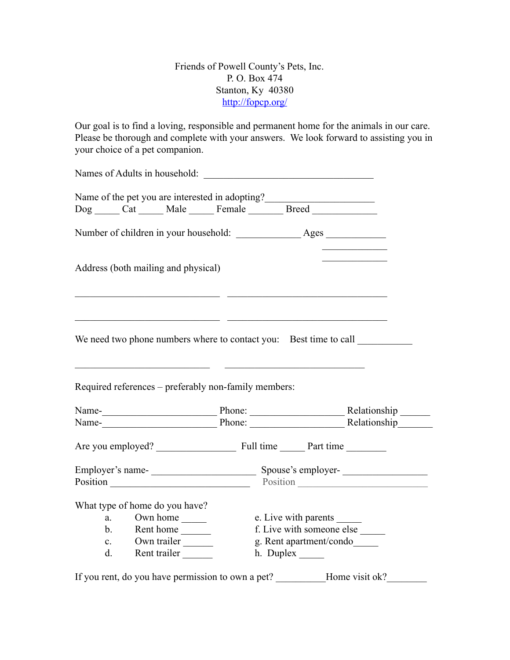Friends of Powell County's Pets, Inc. P. O. Box 474 Stanton, Ky 40380 <http://fopcp.org/>

Our goal is to find a loving, responsible and permanent home for the animals in our care. Please be thorough and complete with your answers. We look forward to assisting you in your choice of a pet companion.

|                                                              | Names of Adults in household:                                             |                                                                                                                                                          |                            |  |                                         |
|--------------------------------------------------------------|---------------------------------------------------------------------------|----------------------------------------------------------------------------------------------------------------------------------------------------------|----------------------------|--|-----------------------------------------|
|                                                              |                                                                           |                                                                                                                                                          |                            |  |                                         |
|                                                              |                                                                           | Name of the pet you are interested in adopting?__________________________________<br>Dog _____ Cat ______ Male ______ Female ________ Breed ____________ |                            |  |                                         |
|                                                              |                                                                           |                                                                                                                                                          |                            |  |                                         |
|                                                              | Address (both mailing and physical)                                       |                                                                                                                                                          |                            |  | <u> 1989 - Johann Barbara, martin a</u> |
|                                                              | We need two phone numbers where to contact you: Best time to call         |                                                                                                                                                          |                            |  |                                         |
|                                                              | Required references - preferably non-family members:                      | <u> 1986 - Andrea Andrew Maria Barbara, amerikan per</u>                                                                                                 |                            |  |                                         |
|                                                              |                                                                           |                                                                                                                                                          |                            |  |                                         |
|                                                              |                                                                           |                                                                                                                                                          |                            |  |                                         |
|                                                              |                                                                           |                                                                                                                                                          |                            |  |                                         |
|                                                              |                                                                           |                                                                                                                                                          |                            |  |                                         |
|                                                              |                                                                           |                                                                                                                                                          |                            |  |                                         |
| Employer's name-<br>Spouse's employer-<br>Spouse's employer- |                                                                           |                                                                                                                                                          | Position Position Position |  |                                         |
|                                                              | What type of home do you have?                                            |                                                                                                                                                          |                            |  |                                         |
|                                                              | a. Own home ________                                                      |                                                                                                                                                          | e. Live with parents       |  |                                         |
|                                                              | b. Rent home                                                              |                                                                                                                                                          | f. Live with someone else  |  |                                         |
|                                                              | c. Own trailer                                                            |                                                                                                                                                          | g. Rent apartment/condo    |  |                                         |
|                                                              | d. Rent trailer                                                           |                                                                                                                                                          |                            |  |                                         |
|                                                              | If you rent, do you have permission to own a pet? _________Home visit ok? |                                                                                                                                                          |                            |  |                                         |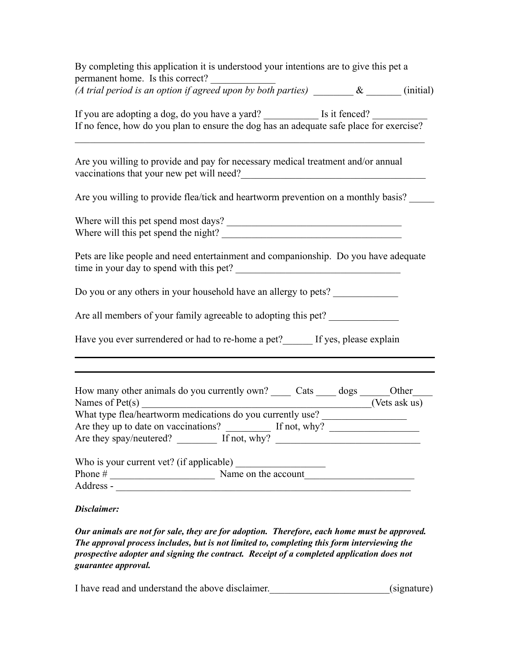| By completing this application it is understood your intentions are to give this pet a<br>permanent home. Is this correct?                                                                                                                                                                                               |
|--------------------------------------------------------------------------------------------------------------------------------------------------------------------------------------------------------------------------------------------------------------------------------------------------------------------------|
| (A trial period is an option if agreed upon by both parties) $\&$ $\&$ (initial)                                                                                                                                                                                                                                         |
| If you are adopting a dog, do you have a yard? _____________ Is it fenced?<br>If no fence, how do you plan to ensure the dog has an adequate safe place for exercise?                                                                                                                                                    |
| Are you willing to provide and pay for necessary medical treatment and/or annual<br>vaccinations that your new pet will need?<br><u>Letting</u> the set of the set of the set of the set of the set of the set of the set of the set of the set of the set of the set of the set of the set of the set of the set of the |
| Are you willing to provide flea/tick and heartworm prevention on a monthly basis?                                                                                                                                                                                                                                        |
| Where will this pet spend the night?                                                                                                                                                                                                                                                                                     |
| Pets are like people and need entertainment and companionship. Do you have adequate<br>time in your day to spend with this pet?                                                                                                                                                                                          |
| Do you or any others in your household have an allergy to pets?                                                                                                                                                                                                                                                          |
| Are all members of your family agreeable to adopting this pet?                                                                                                                                                                                                                                                           |
| Have you ever surrendered or had to re-home a pet? If yes, please explain                                                                                                                                                                                                                                                |
|                                                                                                                                                                                                                                                                                                                          |
| How many other animals do you currently own? _______ Cats ______ dogs _______Other___                                                                                                                                                                                                                                    |
| ( Vets ask us)<br>Names of $Pet(s)$<br>What type flea/heartworm medications do you currently use?                                                                                                                                                                                                                        |
| Are they up to date on vaccinations?<br>$\frac{1}{\sqrt{1 + \frac{1}{2}} \cdot \ln \frac{1}{2}}$ If not, why?                                                                                                                                                                                                            |
|                                                                                                                                                                                                                                                                                                                          |
|                                                                                                                                                                                                                                                                                                                          |
| Who is your current vet? (if applicable) $\frac{1}{2}$ Name on the account                                                                                                                                                                                                                                               |
|                                                                                                                                                                                                                                                                                                                          |
| Disclaimer:                                                                                                                                                                                                                                                                                                              |
| Our animals are not for sale, they are for adoption. Therefore, each home must be approved.<br>The approval process includes, but is not limited to, completing this form interviewing the<br>prospective adopter and signing the contract. Receipt of a completed application does not                                  |

I have read and understand the above disclaimer.\_\_\_\_\_\_\_\_\_\_\_\_\_\_\_\_\_\_\_\_\_\_\_\_(signature)

*guarantee approval.*